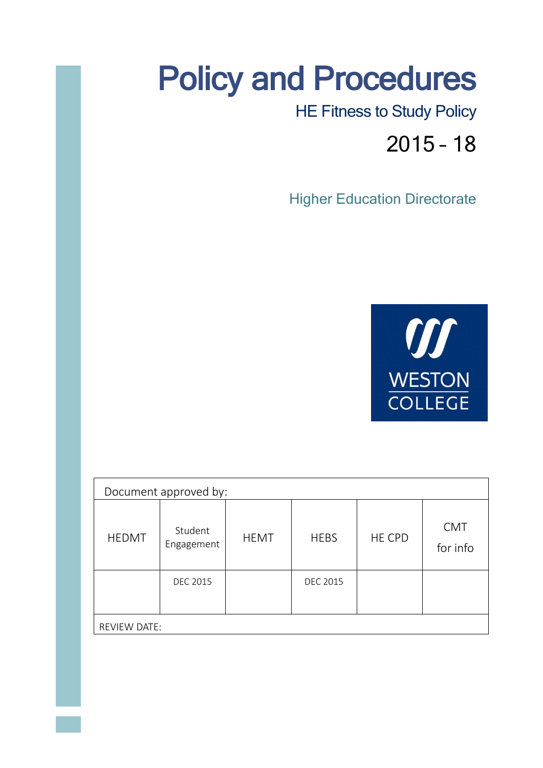# Policy and Procedures

HE Fitness to Study Policy

# 2015 – 18

**Higher Education Directorate** 



|                     | Document approved by: |             |                 |        |                        |  |  |  |  |
|---------------------|-----------------------|-------------|-----------------|--------|------------------------|--|--|--|--|
| <b>HEDMT</b>        | Student<br>Engagement | <b>HEMT</b> | <b>HEBS</b>     | HE CPD | <b>CMT</b><br>for info |  |  |  |  |
|                     | <b>DEC 2015</b>       |             | <b>DEC 2015</b> |        |                        |  |  |  |  |
| <b>REVIEW DATE:</b> |                       |             |                 |        |                        |  |  |  |  |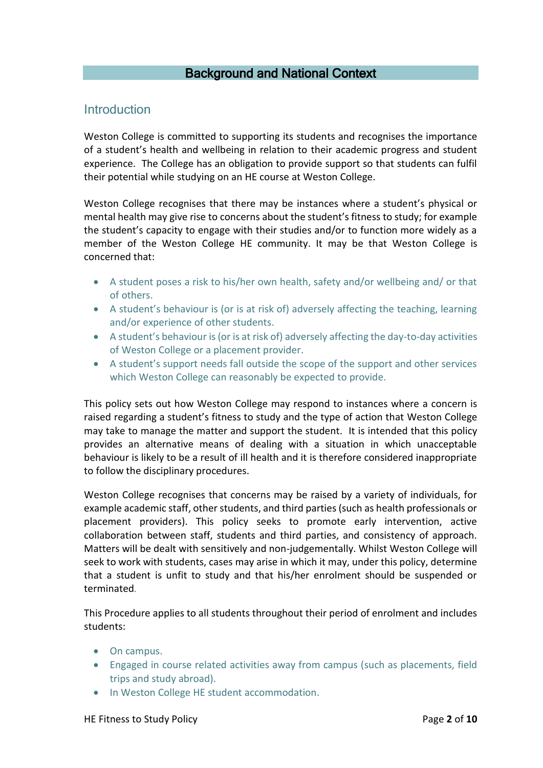# Background and National Context

## Introduction

Weston College is committed to supporting its students and recognises the importance of a student's health and wellbeing in relation to their academic progress and student experience. The College has an obligation to provide support so that students can fulfil their potential while studying on an HE course at Weston College.

Weston College recognises that there may be instances where a student's physical or mental health may give rise to concerns about the student's fitness to study; for example the student's capacity to engage with their studies and/or to function more widely as a member of the Weston College HE community. It may be that Weston College is concerned that:

- A student poses a risk to his/her own health, safety and/or wellbeing and/ or that of others.
- A student's behaviour is (or is at risk of) adversely affecting the teaching, learning and/or experience of other students.
- A student's behaviour is (or is at risk of) adversely affecting the day-to-day activities of Weston College or a placement provider.
- A student's support needs fall outside the scope of the support and other services which Weston College can reasonably be expected to provide.

This policy sets out how Weston College may respond to instances where a concern is raised regarding a student's fitness to study and the type of action that Weston College may take to manage the matter and support the student. It is intended that this policy provides an alternative means of dealing with a situation in which unacceptable behaviour is likely to be a result of ill health and it is therefore considered inappropriate to follow the disciplinary procedures.

Weston College recognises that concerns may be raised by a variety of individuals, for example academic staff, other students, and third parties (such as health professionals or placement providers). This policy seeks to promote early intervention, active collaboration between staff, students and third parties, and consistency of approach. Matters will be dealt with sensitively and non-judgementally. Whilst Weston College will seek to work with students, cases may arise in which it may, under this policy, determine that a student is unfit to study and that his/her enrolment should be suspended or terminated.

This Procedure applies to all students throughout their period of enrolment and includes students:

- On campus.
- Engaged in course related activities away from campus (such as placements, field trips and study abroad).
- In Weston College HE student accommodation.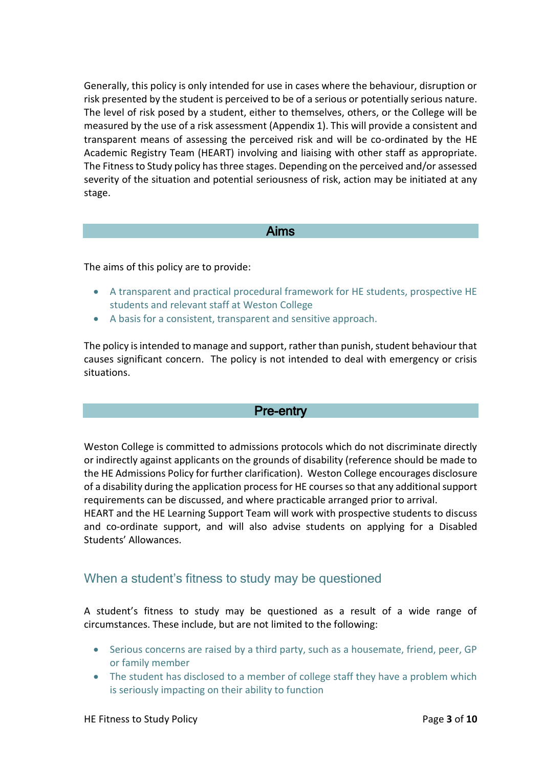Generally, this policy is only intended for use in cases where the behaviour, disruption or risk presented by the student is perceived to be of a serious or potentially serious nature. The level of risk posed by a student, either to themselves, others, or the College will be measured by the use of a risk assessment (Appendix 1). This will provide a consistent and transparent means of assessing the perceived risk and will be co-ordinated by the HE Academic Registry Team (HEART) involving and liaising with other staff as appropriate. The Fitness to Study policy has three stages. Depending on the perceived and/or assessed severity of the situation and potential seriousness of risk, action may be initiated at any stage.

#### Aims

The aims of this policy are to provide:

- A transparent and practical procedural framework for HE students, prospective HE students and relevant staff at Weston College
- A basis for a consistent, transparent and sensitive approach.

The policy is intended to manage and support, rather than punish, student behaviour that causes significant concern. The policy is not intended to deal with emergency or crisis situations.

#### Pre-entry

Weston College is committed to admissions protocols which do not discriminate directly or indirectly against applicants on the grounds of disability (reference should be made to the HE Admissions Policy for further clarification). Weston College encourages disclosure of a disability during the application process for HE courses so that any additional support requirements can be discussed, and where practicable arranged prior to arrival.

HEART and the HE Learning Support Team will work with prospective students to discuss and co-ordinate support, and will also advise students on applying for a Disabled Students' Allowances.

#### When a student's fitness to study may be questioned

A student's fitness to study may be questioned as a result of a wide range of circumstances. These include, but are not limited to the following:

- Serious concerns are raised by a third party, such as a housemate, friend, peer, GP or family member
- The student has disclosed to a member of college staff they have a problem which is seriously impacting on their ability to function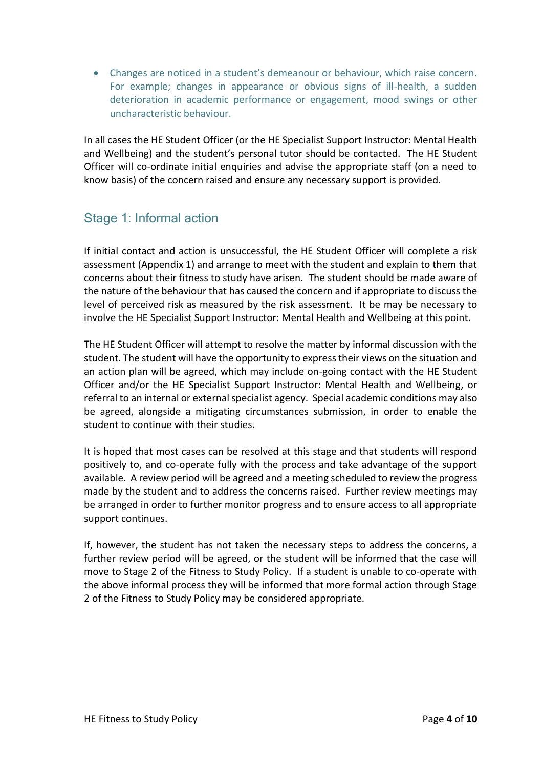Changes are noticed in a student's demeanour or behaviour, which raise concern. For example; changes in appearance or obvious signs of ill-health, a sudden deterioration in academic performance or engagement, mood swings or other uncharacteristic behaviour.

In all cases the HE Student Officer (or the HE Specialist Support Instructor: Mental Health and Wellbeing) and the student's personal tutor should be contacted. The HE Student Officer will co-ordinate initial enquiries and advise the appropriate staff (on a need to know basis) of the concern raised and ensure any necessary support is provided.

# Stage 1: Informal action

If initial contact and action is unsuccessful, the HE Student Officer will complete a risk assessment (Appendix 1) and arrange to meet with the student and explain to them that concerns about their fitness to study have arisen. The student should be made aware of the nature of the behaviour that has caused the concern and if appropriate to discuss the level of perceived risk as measured by the risk assessment. It be may be necessary to involve the HE Specialist Support Instructor: Mental Health and Wellbeing at this point.

The HE Student Officer will attempt to resolve the matter by informal discussion with the student. The student will have the opportunity to express their views on the situation and an action plan will be agreed, which may include on-going contact with the HE Student Officer and/or the HE Specialist Support Instructor: Mental Health and Wellbeing, or referral to an internal or external specialist agency. Special academic conditions may also be agreed, alongside a mitigating circumstances submission, in order to enable the student to continue with their studies.

It is hoped that most cases can be resolved at this stage and that students will respond positively to, and co-operate fully with the process and take advantage of the support available. A review period will be agreed and a meeting scheduled to review the progress made by the student and to address the concerns raised. Further review meetings may be arranged in order to further monitor progress and to ensure access to all appropriate support continues.

If, however, the student has not taken the necessary steps to address the concerns, a further review period will be agreed, or the student will be informed that the case will move to Stage 2 of the Fitness to Study Policy. If a student is unable to co-operate with the above informal process they will be informed that more formal action through Stage 2 of the Fitness to Study Policy may be considered appropriate.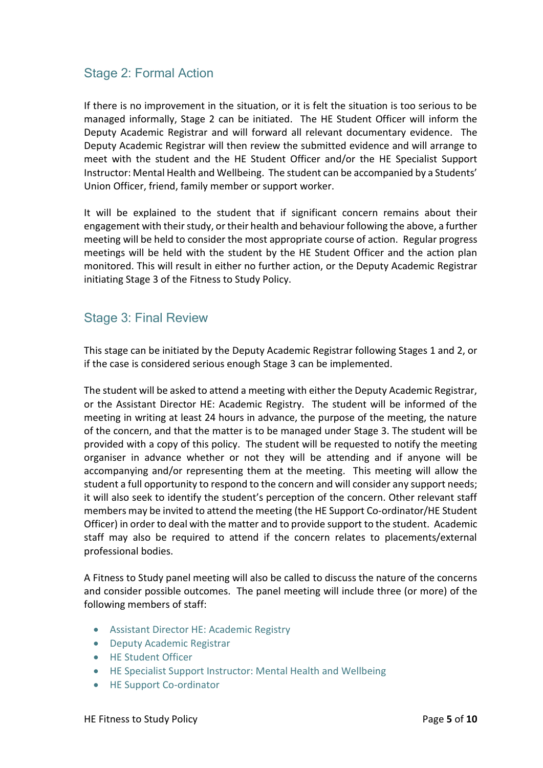# Stage 2: Formal Action

If there is no improvement in the situation, or it is felt the situation is too serious to be managed informally, Stage 2 can be initiated. The HE Student Officer will inform the Deputy Academic Registrar and will forward all relevant documentary evidence. The Deputy Academic Registrar will then review the submitted evidence and will arrange to meet with the student and the HE Student Officer and/or the HE Specialist Support Instructor: Mental Health and Wellbeing. The student can be accompanied by a Students' Union Officer, friend, family member or support worker.

It will be explained to the student that if significant concern remains about their engagement with their study, or their health and behaviour following the above, a further meeting will be held to consider the most appropriate course of action. Regular progress meetings will be held with the student by the HE Student Officer and the action plan monitored. This will result in either no further action, or the Deputy Academic Registrar initiating Stage 3 of the Fitness to Study Policy.

# Stage 3: Final Review

This stage can be initiated by the Deputy Academic Registrar following Stages 1 and 2, or if the case is considered serious enough Stage 3 can be implemented.

The student will be asked to attend a meeting with either the Deputy Academic Registrar, or the Assistant Director HE: Academic Registry. The student will be informed of the meeting in writing at least 24 hours in advance, the purpose of the meeting, the nature of the concern, and that the matter is to be managed under Stage 3. The student will be provided with a copy of this policy. The student will be requested to notify the meeting organiser in advance whether or not they will be attending and if anyone will be accompanying and/or representing them at the meeting. This meeting will allow the student a full opportunity to respond to the concern and will consider any support needs; it will also seek to identify the student's perception of the concern. Other relevant staff members may be invited to attend the meeting (the HE Support Co-ordinator/HE Student Officer) in order to deal with the matter and to provide support to the student. Academic staff may also be required to attend if the concern relates to placements/external professional bodies.

A Fitness to Study panel meeting will also be called to discuss the nature of the concerns and consider possible outcomes. The panel meeting will include three (or more) of the following members of staff:

- Assistant Director HE: Academic Registry
- Deputy Academic Registrar
- **•** HE Student Officer
- HE Specialist Support Instructor: Mental Health and Wellbeing
- HE Support Co-ordinator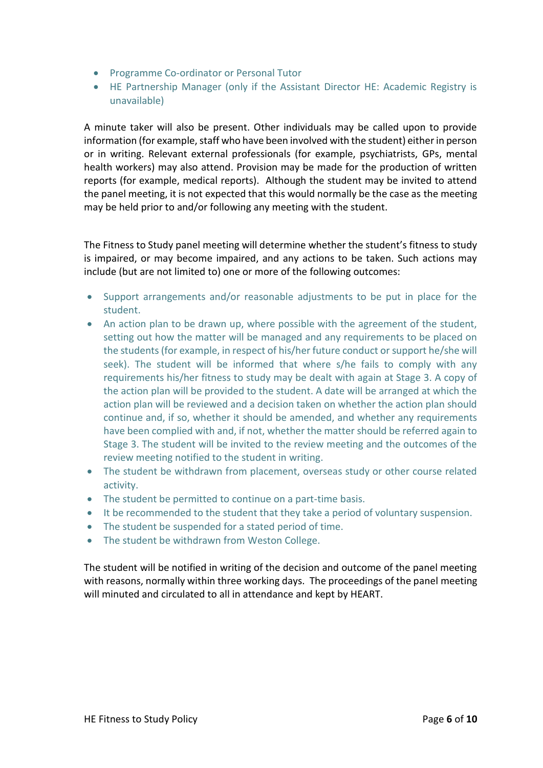- **•** Programme Co-ordinator or Personal Tutor
- HE Partnership Manager (only if the Assistant Director HE: Academic Registry is unavailable)

A minute taker will also be present. Other individuals may be called upon to provide information (for example, staff who have been involved with the student) either in person or in writing. Relevant external professionals (for example, psychiatrists, GPs, mental health workers) may also attend. Provision may be made for the production of written reports (for example, medical reports). Although the student may be invited to attend the panel meeting, it is not expected that this would normally be the case as the meeting may be held prior to and/or following any meeting with the student.

The Fitness to Study panel meeting will determine whether the student's fitness to study is impaired, or may become impaired, and any actions to be taken. Such actions may include (but are not limited to) one or more of the following outcomes:

- Support arrangements and/or reasonable adjustments to be put in place for the student.
- An action plan to be drawn up, where possible with the agreement of the student, setting out how the matter will be managed and any requirements to be placed on the students (for example, in respect of his/her future conduct or support he/she will seek). The student will be informed that where s/he fails to comply with any requirements his/her fitness to study may be dealt with again at Stage 3. A copy of the action plan will be provided to the student. A date will be arranged at which the action plan will be reviewed and a decision taken on whether the action plan should continue and, if so, whether it should be amended, and whether any requirements have been complied with and, if not, whether the matter should be referred again to Stage 3. The student will be invited to the review meeting and the outcomes of the review meeting notified to the student in writing.
- The student be withdrawn from placement, overseas study or other course related activity.
- The student be permitted to continue on a part-time basis.
- It be recommended to the student that they take a period of voluntary suspension.
- The student be suspended for a stated period of time.
- The student be withdrawn from Weston College.

The student will be notified in writing of the decision and outcome of the panel meeting with reasons, normally within three working days. The proceedings of the panel meeting will minuted and circulated to all in attendance and kept by HEART.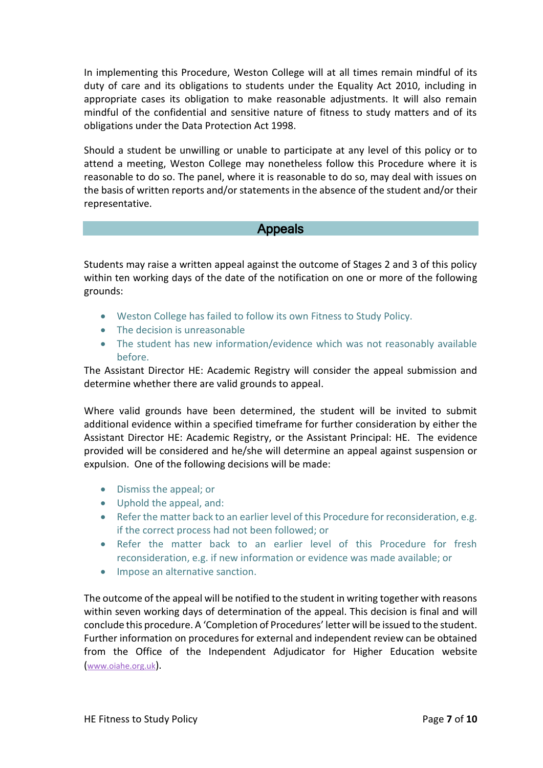In implementing this Procedure, Weston College will at all times remain mindful of its duty of care and its obligations to students under the Equality Act 2010, including in appropriate cases its obligation to make reasonable adjustments. It will also remain mindful of the confidential and sensitive nature of fitness to study matters and of its obligations under the Data Protection Act 1998.

Should a student be unwilling or unable to participate at any level of this policy or to attend a meeting, Weston College may nonetheless follow this Procedure where it is reasonable to do so. The panel, where it is reasonable to do so, may deal with issues on the basis of written reports and/or statements in the absence of the student and/or their representative.

#### Appeals

Students may raise a written appeal against the outcome of Stages 2 and 3 of this policy within ten working days of the date of the notification on one or more of the following grounds:

- Weston College has failed to follow its own Fitness to Study Policy.
- The decision is unreasonable
- The student has new information/evidence which was not reasonably available before.

The Assistant Director HE: Academic Registry will consider the appeal submission and determine whether there are valid grounds to appeal.

Where valid grounds have been determined, the student will be invited to submit additional evidence within a specified timeframe for further consideration by either the Assistant Director HE: Academic Registry, or the Assistant Principal: HE. The evidence provided will be considered and he/she will determine an appeal against suspension or expulsion. One of the following decisions will be made:

- Dismiss the appeal; or
- Uphold the appeal, and:
- Refer the matter back to an earlier level of this Procedure for reconsideration, e.g. if the correct process had not been followed; or
- Refer the matter back to an earlier level of this Procedure for fresh reconsideration, e.g. if new information or evidence was made available; or
- Impose an alternative sanction.

The outcome of the appeal will be notified to the student in writing together with reasons within seven working days of determination of the appeal. This decision is final and will conclude this procedure. A 'Completion of Procedures' letter will be issued to the student. Further information on procedures for external and independent review can be obtained from the Office of the Independent Adjudicator for Higher Education website ([www.oiahe.org.uk](http://www.oiahe.org.uk/)).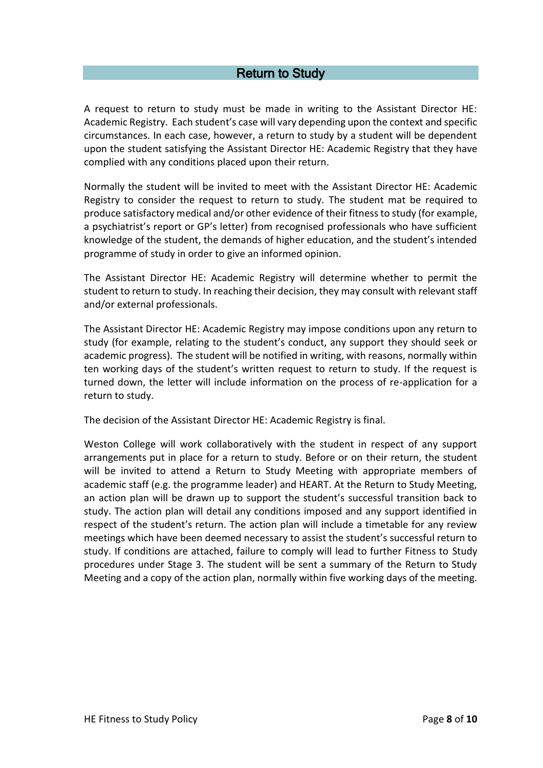# Return to Study

A request to return to study must be made in writing to the Assistant Director HE: Academic Registry. Each student's case will vary depending upon the context and specific circumstances. In each case, however, a return to study by a student will be dependent upon the student satisfying the Assistant Director HE: Academic Registry that they have complied with any conditions placed upon their return.

Normally the student will be invited to meet with the Assistant Director HE: Academic Registry to consider the request to return to study. The student mat be required to produce satisfactory medical and/or other evidence of their fitness to study (for example, a psychiatrist's report or GP's letter) from recognised professionals who have sufficient knowledge of the student, the demands of higher education, and the student's intended programme of study in order to give an informed opinion.

The Assistant Director HE: Academic Registry will determine whether to permit the student to return to study. In reaching their decision, they may consult with relevant staff and/or external professionals.

The Assistant Director HE: Academic Registry may impose conditions upon any return to study (for example, relating to the student's conduct, any support they should seek or academic progress). The student will be notified in writing, with reasons, normally within ten working days of the student's written request to return to study. If the request is turned down, the letter will include information on the process of re-application for a return to study.

The decision of the Assistant Director HE: Academic Registry is final.

Weston College will work collaboratively with the student in respect of any support arrangements put in place for a return to study. Before or on their return, the student will be invited to attend a Return to Study Meeting with appropriate members of academic staff (e.g. the programme leader) and HEART. At the Return to Study Meeting, an action plan will be drawn up to support the student's successful transition back to study. The action plan will detail any conditions imposed and any support identified in respect of the student's return. The action plan will include a timetable for any review meetings which have been deemed necessary to assist the student's successful return to study. If conditions are attached, failure to comply will lead to further Fitness to Study procedures under Stage 3. The student will be sent a summary of the Return to Study Meeting and a copy of the action plan, normally within five working days of the meeting.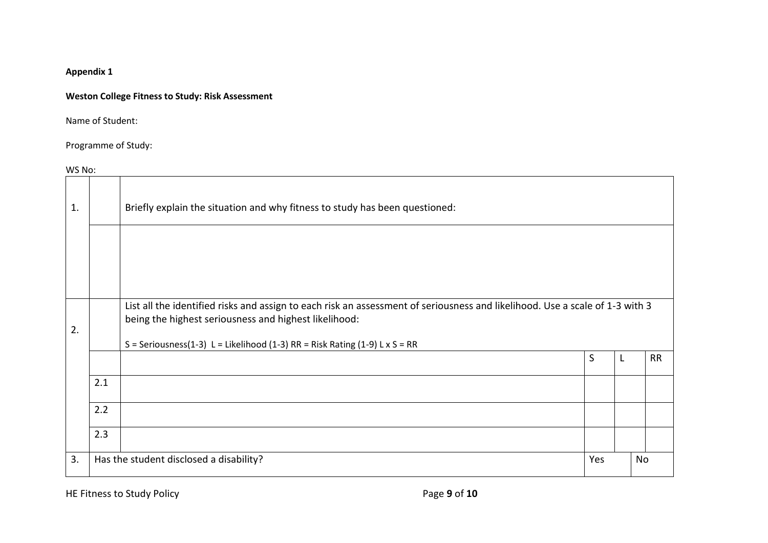#### **Appendix 1**

#### **Weston College Fitness to Study: Risk Assessment**

Name of Student:

Programme of Study:

#### WS No:

| 1. |                                         | Briefly explain the situation and why fitness to study has been questioned:                                                                                                           |     |   |           |
|----|-----------------------------------------|---------------------------------------------------------------------------------------------------------------------------------------------------------------------------------------|-----|---|-----------|
|    |                                         |                                                                                                                                                                                       |     |   |           |
|    |                                         |                                                                                                                                                                                       |     |   |           |
| 2. |                                         | List all the identified risks and assign to each risk an assessment of seriousness and likelihood. Use a scale of 1-3 with 3<br>being the highest seriousness and highest likelihood: |     |   |           |
|    |                                         | S = Seriousness(1-3) L = Likelihood (1-3) RR = Risk Rating (1-9) L x S = RR                                                                                                           |     |   |           |
|    |                                         |                                                                                                                                                                                       | S   | L | RR        |
|    | 2.1                                     |                                                                                                                                                                                       |     |   |           |
|    | 2.2                                     |                                                                                                                                                                                       |     |   |           |
|    | 2.3                                     |                                                                                                                                                                                       |     |   |           |
| 3. | Has the student disclosed a disability? |                                                                                                                                                                                       | Yes |   | <b>No</b> |